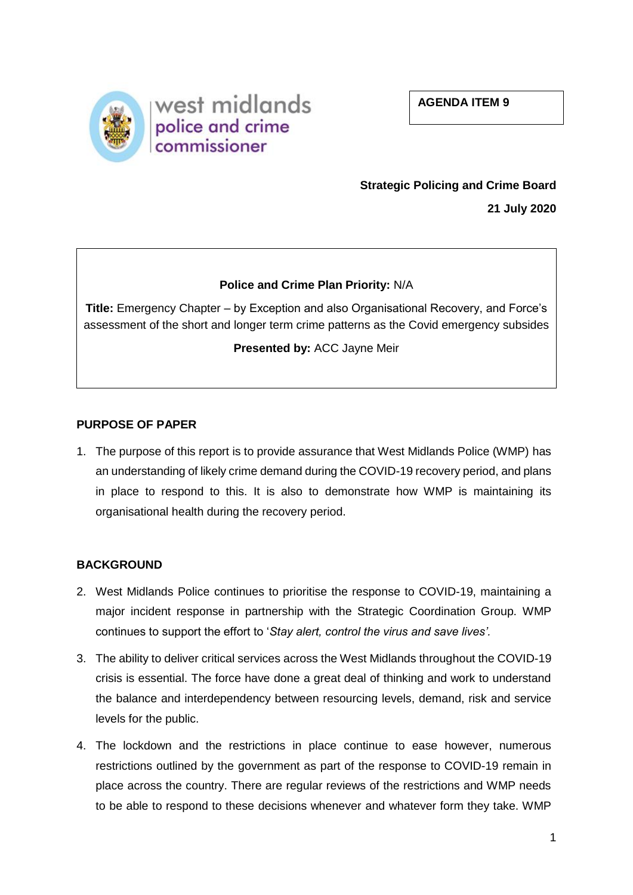**AGENDA ITEM 9**



# **Strategic Policing and Crime Board**

**21 July 2020** 

# **Police and Crime Plan Priority:** N/A

**Title:** Emergency Chapter – by Exception and also Organisational Recovery, and Force's assessment of the short and longer term crime patterns as the Covid emergency subsides

# **Presented by:** ACC Jayne Meir

## **PURPOSE OF PAPER**

1. The purpose of this report is to provide assurance that West Midlands Police (WMP) has an understanding of likely crime demand during the COVID-19 recovery period, and plans in place to respond to this. It is also to demonstrate how WMP is maintaining its organisational health during the recovery period.

# **BACKGROUND**

- 2. West Midlands Police continues to prioritise the response to COVID-19, maintaining a major incident response in partnership with the Strategic Coordination Group. WMP continues to support the effort to '*Stay alert, control the virus and save lives'.*
- 3. The ability to deliver critical services across the West Midlands throughout the COVID-19 crisis is essential. The force have done a great deal of thinking and work to understand the balance and interdependency between resourcing levels, demand, risk and service levels for the public.
- 4. The lockdown and the restrictions in place continue to ease however, numerous restrictions outlined by the government as part of the response to COVID-19 remain in place across the country. There are regular reviews of the restrictions and WMP needs to be able to respond to these decisions whenever and whatever form they take. WMP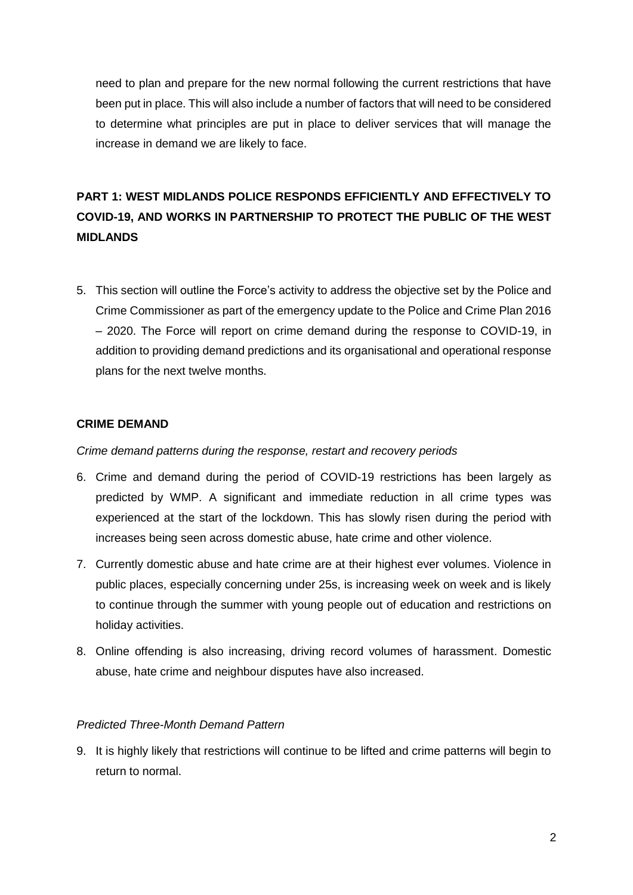need to plan and prepare for the new normal following the current restrictions that have been put in place. This will also include a number of factors that will need to be considered to determine what principles are put in place to deliver services that will manage the increase in demand we are likely to face.

# **PART 1: WEST MIDLANDS POLICE RESPONDS EFFICIENTLY AND EFFECTIVELY TO COVID-19, AND WORKS IN PARTNERSHIP TO PROTECT THE PUBLIC OF THE WEST MIDLANDS**

5. This section will outline the Force's activity to address the objective set by the Police and Crime Commissioner as part of the emergency update to the Police and Crime Plan 2016 – 2020. The Force will report on crime demand during the response to COVID-19, in addition to providing demand predictions and its organisational and operational response plans for the next twelve months.

## **CRIME DEMAND**

*Crime demand patterns during the response, restart and recovery periods*

- 6. Crime and demand during the period of COVID-19 restrictions has been largely as predicted by WMP. A significant and immediate reduction in all crime types was experienced at the start of the lockdown. This has slowly risen during the period with increases being seen across domestic abuse, hate crime and other violence.
- 7. Currently domestic abuse and hate crime are at their highest ever volumes. Violence in public places, especially concerning under 25s, is increasing week on week and is likely to continue through the summer with young people out of education and restrictions on holiday activities.
- 8. Online offending is also increasing, driving record volumes of harassment. Domestic abuse, hate crime and neighbour disputes have also increased.

## *Predicted Three-Month Demand Pattern*

9. It is highly likely that restrictions will continue to be lifted and crime patterns will begin to return to normal.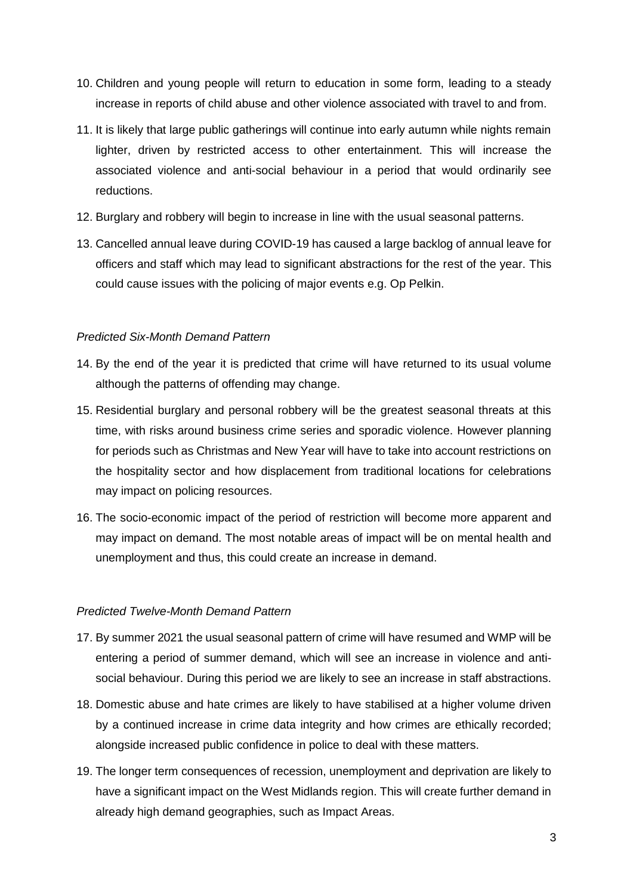- 10. Children and young people will return to education in some form, leading to a steady increase in reports of child abuse and other violence associated with travel to and from.
- 11. It is likely that large public gatherings will continue into early autumn while nights remain lighter, driven by restricted access to other entertainment. This will increase the associated violence and anti-social behaviour in a period that would ordinarily see reductions.
- 12. Burglary and robbery will begin to increase in line with the usual seasonal patterns.
- 13. Cancelled annual leave during COVID-19 has caused a large backlog of annual leave for officers and staff which may lead to significant abstractions for the rest of the year. This could cause issues with the policing of major events e.g. Op Pelkin.

# *Predicted Six-Month Demand Pattern*

- 14. By the end of the year it is predicted that crime will have returned to its usual volume although the patterns of offending may change.
- 15. Residential burglary and personal robbery will be the greatest seasonal threats at this time, with risks around business crime series and sporadic violence. However planning for periods such as Christmas and New Year will have to take into account restrictions on the hospitality sector and how displacement from traditional locations for celebrations may impact on policing resources.
- 16. The socio-economic impact of the period of restriction will become more apparent and may impact on demand. The most notable areas of impact will be on mental health and unemployment and thus, this could create an increase in demand.

# *Predicted Twelve-Month Demand Pattern*

- 17. By summer 2021 the usual seasonal pattern of crime will have resumed and WMP will be entering a period of summer demand, which will see an increase in violence and antisocial behaviour. During this period we are likely to see an increase in staff abstractions.
- 18. Domestic abuse and hate crimes are likely to have stabilised at a higher volume driven by a continued increase in crime data integrity and how crimes are ethically recorded; alongside increased public confidence in police to deal with these matters.
- 19. The longer term consequences of recession, unemployment and deprivation are likely to have a significant impact on the West Midlands region. This will create further demand in already high demand geographies, such as Impact Areas.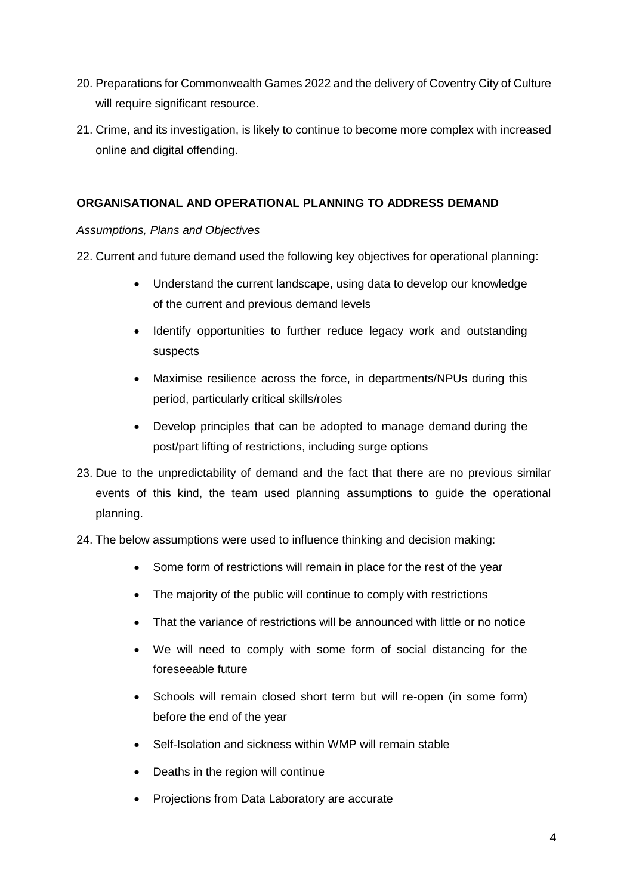- 20. Preparations for Commonwealth Games 2022 and the delivery of Coventry City of Culture will require significant resource.
- 21. Crime, and its investigation, is likely to continue to become more complex with increased online and digital offending.

# **ORGANISATIONAL AND OPERATIONAL PLANNING TO ADDRESS DEMAND**

*Assumptions, Plans and Objectives*

- 22. Current and future demand used the following key objectives for operational planning:
	- Understand the current landscape, using data to develop our knowledge of the current and previous demand levels
	- Identify opportunities to further reduce legacy work and outstanding suspects
	- Maximise resilience across the force, in departments/NPUs during this period, particularly critical skills/roles
	- Develop principles that can be adopted to manage demand during the post/part lifting of restrictions, including surge options
- 23. Due to the unpredictability of demand and the fact that there are no previous similar events of this kind, the team used planning assumptions to guide the operational planning.
- 24. The below assumptions were used to influence thinking and decision making:
	- Some form of restrictions will remain in place for the rest of the year
	- The majority of the public will continue to comply with restrictions
	- That the variance of restrictions will be announced with little or no notice
	- We will need to comply with some form of social distancing for the foreseeable future
	- Schools will remain closed short term but will re-open (in some form) before the end of the year
	- Self-Isolation and sickness within WMP will remain stable
	- Deaths in the region will continue
	- Projections from Data Laboratory are accurate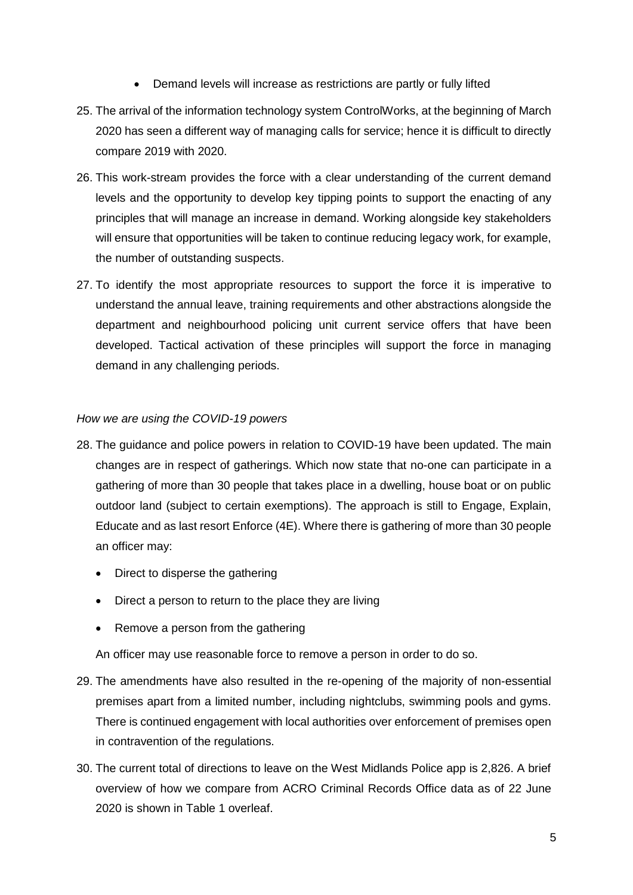- Demand levels will increase as restrictions are partly or fully lifted
- 25. The arrival of the information technology system ControlWorks, at the beginning of March 2020 has seen a different way of managing calls for service; hence it is difficult to directly compare 2019 with 2020.
- 26. This work-stream provides the force with a clear understanding of the current demand levels and the opportunity to develop key tipping points to support the enacting of any principles that will manage an increase in demand. Working alongside key stakeholders will ensure that opportunities will be taken to continue reducing legacy work, for example, the number of outstanding suspects.
- 27. To identify the most appropriate resources to support the force it is imperative to understand the annual leave, training requirements and other abstractions alongside the department and neighbourhood policing unit current service offers that have been developed. Tactical activation of these principles will support the force in managing demand in any challenging periods.

## *How we are using the COVID-19 powers*

- 28. The guidance and police powers in relation to COVID-19 have been updated. The main changes are in respect of gatherings. Which now state that no-one can participate in a gathering of more than 30 people that takes place in a dwelling, house boat or on public outdoor land (subject to certain exemptions). The approach is still to Engage, Explain, Educate and as last resort Enforce (4E). Where there is gathering of more than 30 people an officer may:
	- Direct to disperse the gathering
	- Direct a person to return to the place they are living
	- Remove a person from the gathering

An officer may use reasonable force to remove a person in order to do so.

- 29. The amendments have also resulted in the re-opening of the majority of non-essential premises apart from a limited number, including nightclubs, swimming pools and gyms. There is continued engagement with local authorities over enforcement of premises open in contravention of the regulations.
- 30. The current total of directions to leave on the West Midlands Police app is 2,826. A brief overview of how we compare from ACRO Criminal Records Office data as of 22 June 2020 is shown in Table 1 overleaf.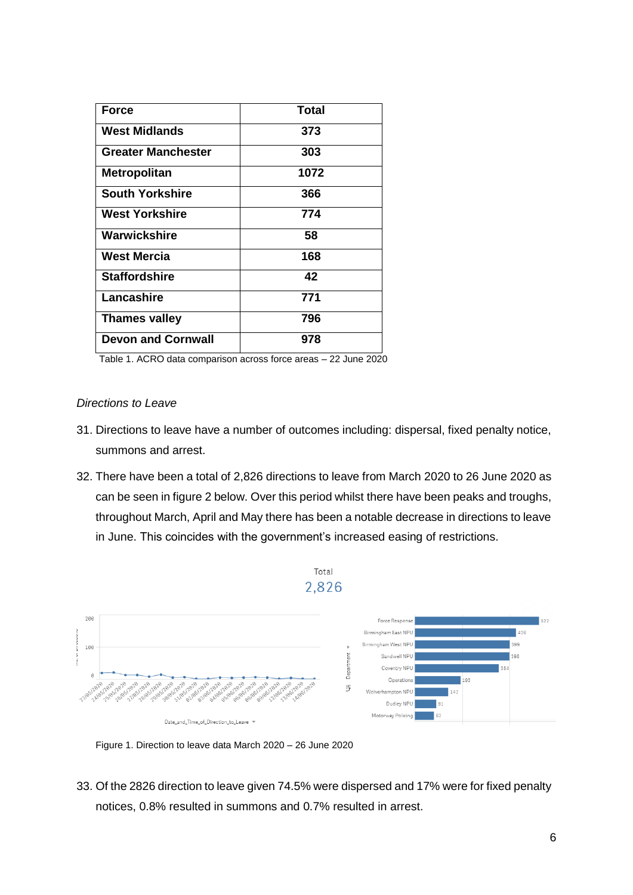| <b>Force</b>              | <b>Total</b> |
|---------------------------|--------------|
| <b>West Midlands</b>      | 373          |
| <b>Greater Manchester</b> | 303          |
| <b>Metropolitan</b>       | 1072         |
| <b>South Yorkshire</b>    | 366          |
| <b>West Yorkshire</b>     | 774          |
| Warwickshire              | 58           |
| West Mercia               | 168          |
| <b>Staffordshire</b>      | 42           |
| Lancashire                | 771          |
| <b>Thames valley</b>      | 796          |
| <b>Devon and Cornwall</b> | 978          |

Table 1. ACRO data comparison across force areas – 22 June 2020

#### *Directions to Leave*

- 31. Directions to leave have a number of outcomes including: dispersal, fixed penalty notice, summons and arrest.
- 32. There have been a total of 2,826 directions to leave from March 2020 to 26 June 2020 as can be seen in figure 2 below. Over this period whilst there have been peaks and troughs, throughout March, April and May there has been a notable decrease in directions to leave in June. This coincides with the government's increased easing of restrictions.





33. Of the 2826 direction to leave given 74.5% were dispersed and 17% were for fixed penalty notices, 0.8% resulted in summons and 0.7% resulted in arrest.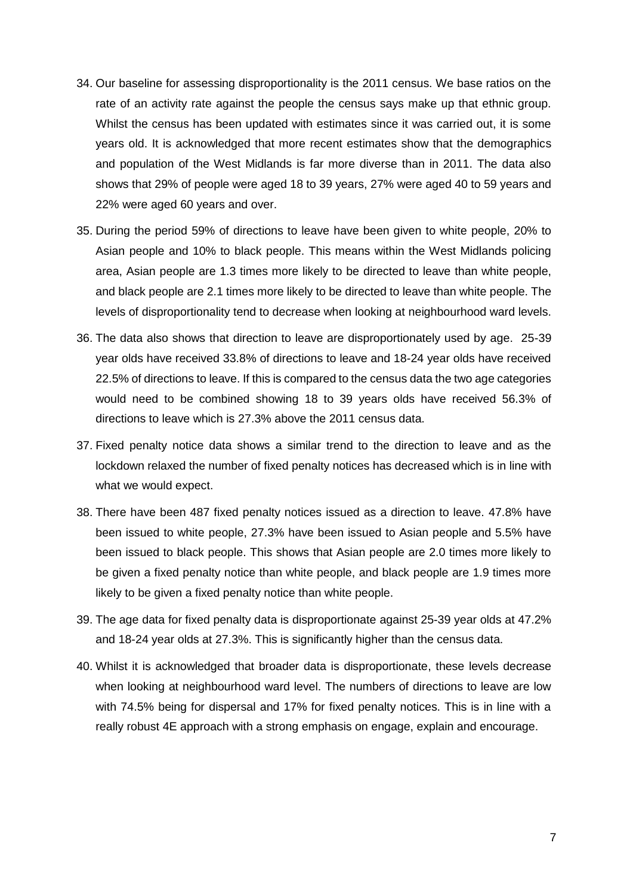- 34. Our baseline for assessing disproportionality is the 2011 census. We base ratios on the rate of an activity rate against the people the census says make up that ethnic group. Whilst the census has been updated with estimates since it was carried out, it is some years old. It is acknowledged that more recent estimates show that the demographics and population of the West Midlands is far more diverse than in 2011. The data also shows that 29% of people were aged 18 to 39 years, 27% were aged 40 to 59 years and 22% were aged 60 years and over.
- 35. During the period 59% of directions to leave have been given to white people, 20% to Asian people and 10% to black people. This means within the West Midlands policing area, Asian people are 1.3 times more likely to be directed to leave than white people, and black people are 2.1 times more likely to be directed to leave than white people. The levels of disproportionality tend to decrease when looking at neighbourhood ward levels.
- 36. The data also shows that direction to leave are disproportionately used by age. 25-39 year olds have received 33.8% of directions to leave and 18-24 year olds have received 22.5% of directions to leave. If this is compared to the census data the two age categories would need to be combined showing 18 to 39 years olds have received 56.3% of directions to leave which is 27.3% above the 2011 census data.
- 37. Fixed penalty notice data shows a similar trend to the direction to leave and as the lockdown relaxed the number of fixed penalty notices has decreased which is in line with what we would expect.
- 38. There have been 487 fixed penalty notices issued as a direction to leave. 47.8% have been issued to white people, 27.3% have been issued to Asian people and 5.5% have been issued to black people. This shows that Asian people are 2.0 times more likely to be given a fixed penalty notice than white people, and black people are 1.9 times more likely to be given a fixed penalty notice than white people.
- 39. The age data for fixed penalty data is disproportionate against 25-39 year olds at 47.2% and 18-24 year olds at 27.3%. This is significantly higher than the census data.
- 40. Whilst it is acknowledged that broader data is disproportionate, these levels decrease when looking at neighbourhood ward level. The numbers of directions to leave are low with 74.5% being for dispersal and 17% for fixed penalty notices. This is in line with a really robust 4E approach with a strong emphasis on engage, explain and encourage.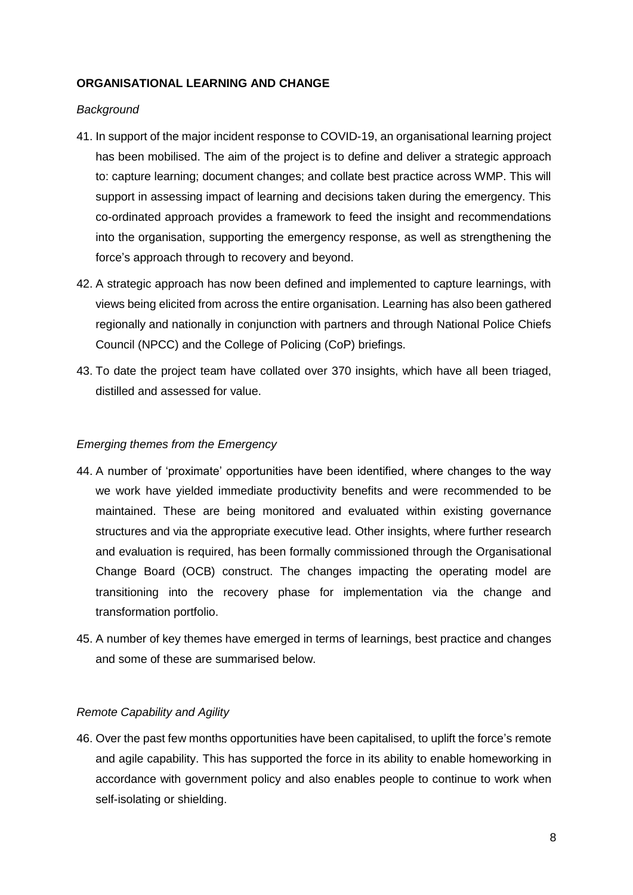## **ORGANISATIONAL LEARNING AND CHANGE**

## *Background*

- 41. In support of the major incident response to COVID-19, an organisational learning project has been mobilised. The aim of the project is to define and deliver a strategic approach to: capture learning; document changes; and collate best practice across WMP. This will support in assessing impact of learning and decisions taken during the emergency. This co-ordinated approach provides a framework to feed the insight and recommendations into the organisation, supporting the emergency response, as well as strengthening the force's approach through to recovery and beyond.
- 42. A strategic approach has now been defined and implemented to capture learnings, with views being elicited from across the entire organisation. Learning has also been gathered regionally and nationally in conjunction with partners and through National Police Chiefs Council (NPCC) and the College of Policing (CoP) briefings.
- 43. To date the project team have collated over 370 insights, which have all been triaged, distilled and assessed for value.

## *Emerging themes from the Emergency*

- 44. A number of 'proximate' opportunities have been identified, where changes to the way we work have yielded immediate productivity benefits and were recommended to be maintained. These are being monitored and evaluated within existing governance structures and via the appropriate executive lead. Other insights, where further research and evaluation is required, has been formally commissioned through the Organisational Change Board (OCB) construct. The changes impacting the operating model are transitioning into the recovery phase for implementation via the change and transformation portfolio.
- 45. A number of key themes have emerged in terms of learnings, best practice and changes and some of these are summarised below.

## *Remote Capability and Agility*

46. Over the past few months opportunities have been capitalised, to uplift the force's remote and agile capability. This has supported the force in its ability to enable homeworking in accordance with government policy and also enables people to continue to work when self-isolating or shielding.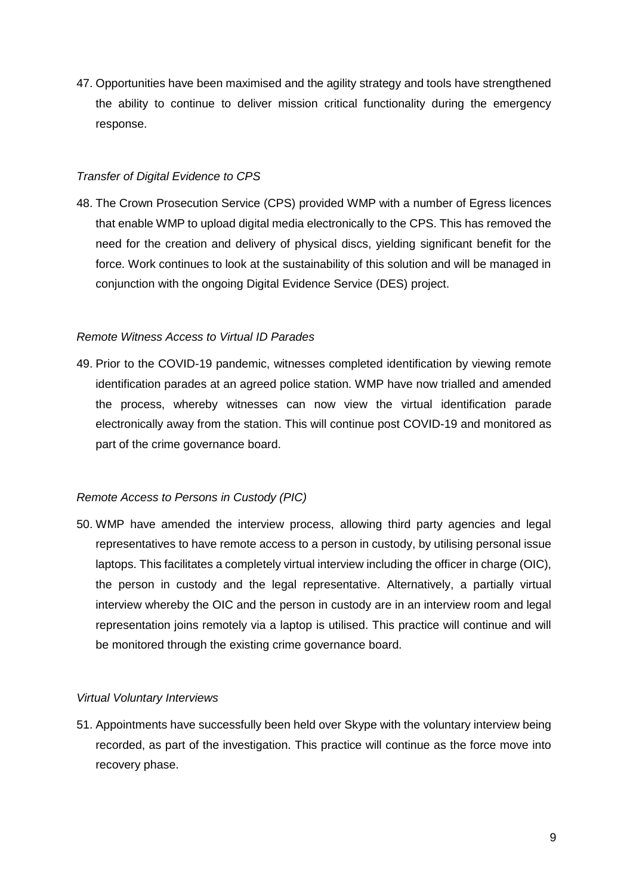47. Opportunities have been maximised and the agility strategy and tools have strengthened the ability to continue to deliver mission critical functionality during the emergency response.

## *Transfer of Digital Evidence to CPS*

48. The Crown Prosecution Service (CPS) provided WMP with a number of Egress licences that enable WMP to upload digital media electronically to the CPS. This has removed the need for the creation and delivery of physical discs, yielding significant benefit for the force. Work continues to look at the sustainability of this solution and will be managed in conjunction with the ongoing Digital Evidence Service (DES) project.

# *Remote Witness Access to Virtual ID Parades*

49. Prior to the COVID-19 pandemic, witnesses completed identification by viewing remote identification parades at an agreed police station. WMP have now trialled and amended the process, whereby witnesses can now view the virtual identification parade electronically away from the station. This will continue post COVID-19 and monitored as part of the crime governance board.

# *Remote Access to Persons in Custody (PIC)*

50. WMP have amended the interview process, allowing third party agencies and legal representatives to have remote access to a person in custody, by utilising personal issue laptops. This facilitates a completely virtual interview including the officer in charge (OIC), the person in custody and the legal representative. Alternatively, a partially virtual interview whereby the OIC and the person in custody are in an interview room and legal representation joins remotely via a laptop is utilised. This practice will continue and will be monitored through the existing crime governance board.

## *Virtual Voluntary Interviews*

51. Appointments have successfully been held over Skype with the voluntary interview being recorded, as part of the investigation. This practice will continue as the force move into recovery phase.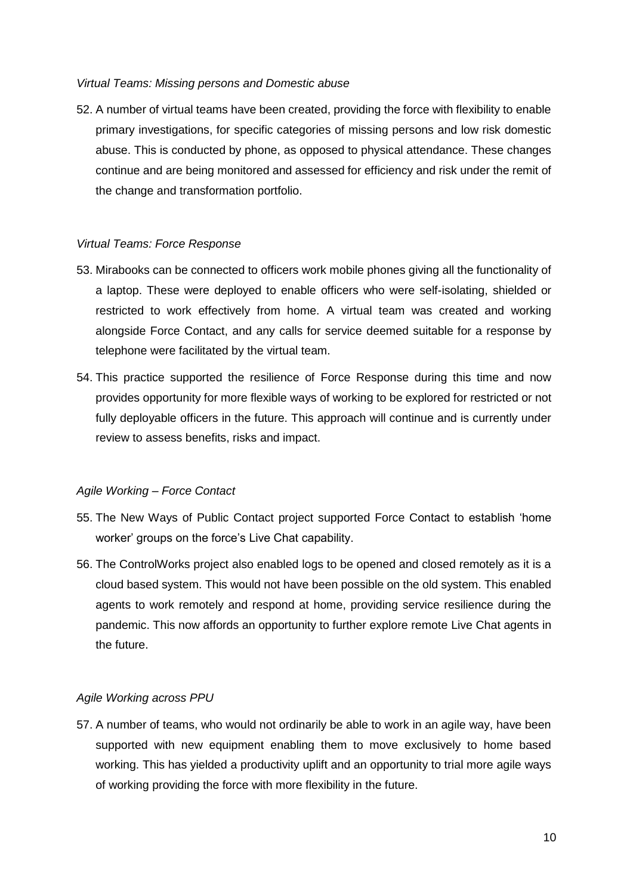#### *Virtual Teams: Missing persons and Domestic abuse*

52. A number of virtual teams have been created, providing the force with flexibility to enable primary investigations, for specific categories of missing persons and low risk domestic abuse. This is conducted by phone, as opposed to physical attendance. These changes continue and are being monitored and assessed for efficiency and risk under the remit of the change and transformation portfolio.

## *Virtual Teams: Force Response*

- 53. Mirabooks can be connected to officers work mobile phones giving all the functionality of a laptop. These were deployed to enable officers who were self-isolating, shielded or restricted to work effectively from home. A virtual team was created and working alongside Force Contact, and any calls for service deemed suitable for a response by telephone were facilitated by the virtual team.
- 54. This practice supported the resilience of Force Response during this time and now provides opportunity for more flexible ways of working to be explored for restricted or not fully deployable officers in the future. This approach will continue and is currently under review to assess benefits, risks and impact.

#### *Agile Working – Force Contact*

- 55. The New Ways of Public Contact project supported Force Contact to establish 'home worker' groups on the force's Live Chat capability.
- 56. The ControlWorks project also enabled logs to be opened and closed remotely as it is a cloud based system. This would not have been possible on the old system. This enabled agents to work remotely and respond at home, providing service resilience during the pandemic. This now affords an opportunity to further explore remote Live Chat agents in the future.

## *Agile Working across PPU*

57. A number of teams, who would not ordinarily be able to work in an agile way, have been supported with new equipment enabling them to move exclusively to home based working. This has yielded a productivity uplift and an opportunity to trial more agile ways of working providing the force with more flexibility in the future.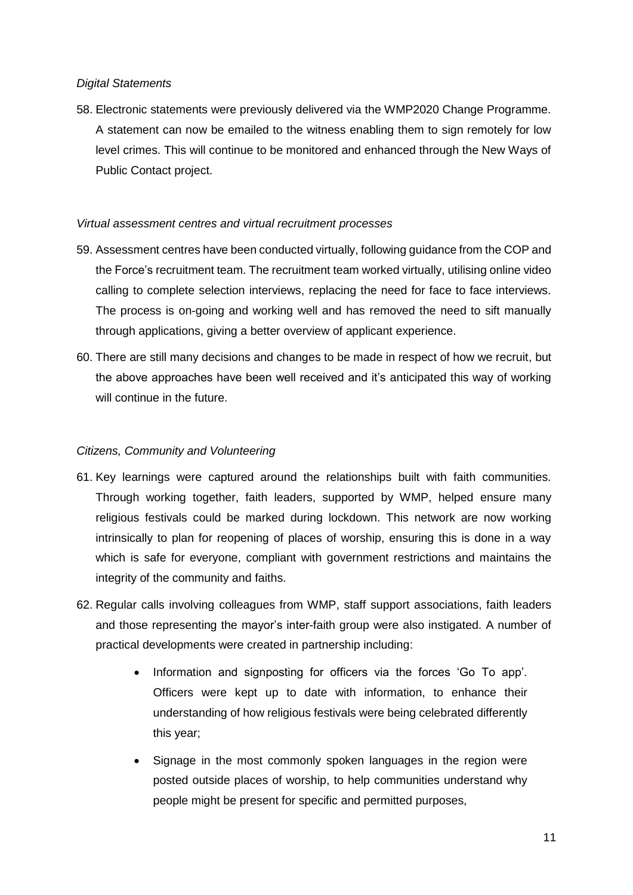#### *Digital Statements*

58. Electronic statements were previously delivered via the WMP2020 Change Programme. A statement can now be emailed to the witness enabling them to sign remotely for low level crimes. This will continue to be monitored and enhanced through the New Ways of Public Contact project.

#### *Virtual assessment centres and virtual recruitment processes*

- 59. Assessment centres have been conducted virtually, following guidance from the COP and the Force's recruitment team. The recruitment team worked virtually, utilising online video calling to complete selection interviews, replacing the need for face to face interviews. The process is on-going and working well and has removed the need to sift manually through applications, giving a better overview of applicant experience.
- 60. There are still many decisions and changes to be made in respect of how we recruit, but the above approaches have been well received and it's anticipated this way of working will continue in the future.

## *Citizens, Community and Volunteering*

- 61. Key learnings were captured around the relationships built with faith communities. Through working together, faith leaders, supported by WMP, helped ensure many religious festivals could be marked during lockdown. This network are now working intrinsically to plan for reopening of places of worship, ensuring this is done in a way which is safe for everyone, compliant with government restrictions and maintains the integrity of the community and faiths.
- 62. Regular calls involving colleagues from WMP, staff support associations, faith leaders and those representing the mayor's inter-faith group were also instigated. A number of practical developments were created in partnership including:
	- Information and signposting for officers via the forces 'Go To app'. Officers were kept up to date with information, to enhance their understanding of how religious festivals were being celebrated differently this year;
	- Signage in the most commonly spoken languages in the region were posted outside places of worship, to help communities understand why people might be present for specific and permitted purposes,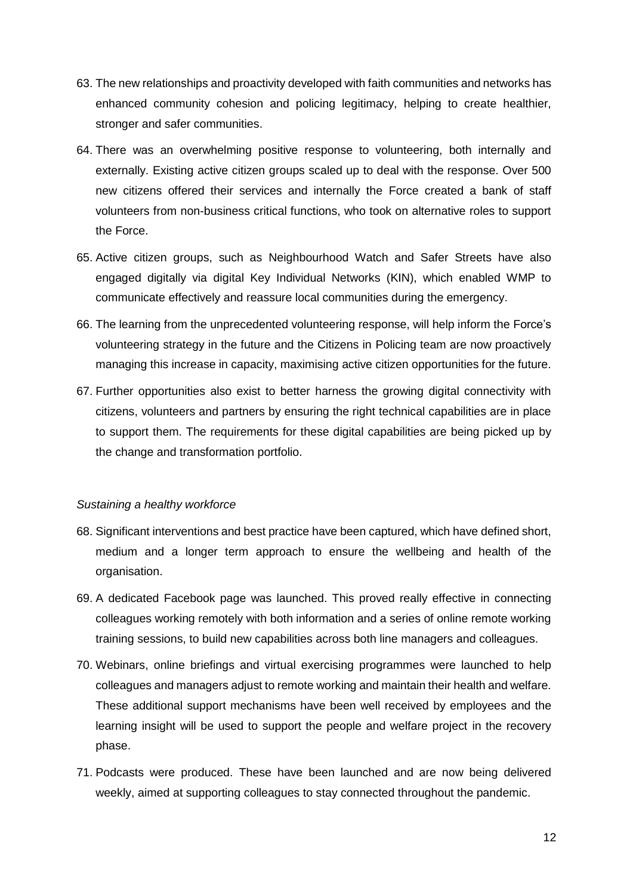- 63. The new relationships and proactivity developed with faith communities and networks has enhanced community cohesion and policing legitimacy, helping to create healthier, stronger and safer communities.
- 64. There was an overwhelming positive response to volunteering, both internally and externally. Existing active citizen groups scaled up to deal with the response. Over 500 new citizens offered their services and internally the Force created a bank of staff volunteers from non-business critical functions, who took on alternative roles to support the Force.
- 65. Active citizen groups, such as Neighbourhood Watch and Safer Streets have also engaged digitally via digital Key Individual Networks (KIN), which enabled WMP to communicate effectively and reassure local communities during the emergency.
- 66. The learning from the unprecedented volunteering response, will help inform the Force's volunteering strategy in the future and the Citizens in Policing team are now proactively managing this increase in capacity, maximising active citizen opportunities for the future.
- 67. Further opportunities also exist to better harness the growing digital connectivity with citizens, volunteers and partners by ensuring the right technical capabilities are in place to support them. The requirements for these digital capabilities are being picked up by the change and transformation portfolio.

#### *Sustaining a healthy workforce*

- 68. Significant interventions and best practice have been captured, which have defined short, medium and a longer term approach to ensure the wellbeing and health of the organisation.
- 69. A dedicated Facebook page was launched. This proved really effective in connecting colleagues working remotely with both information and a series of online remote working training sessions, to build new capabilities across both line managers and colleagues.
- 70. Webinars, online briefings and virtual exercising programmes were launched to help colleagues and managers adjust to remote working and maintain their health and welfare. These additional support mechanisms have been well received by employees and the learning insight will be used to support the people and welfare project in the recovery phase.
- 71. Podcasts were produced. These have been launched and are now being delivered weekly, aimed at supporting colleagues to stay connected throughout the pandemic.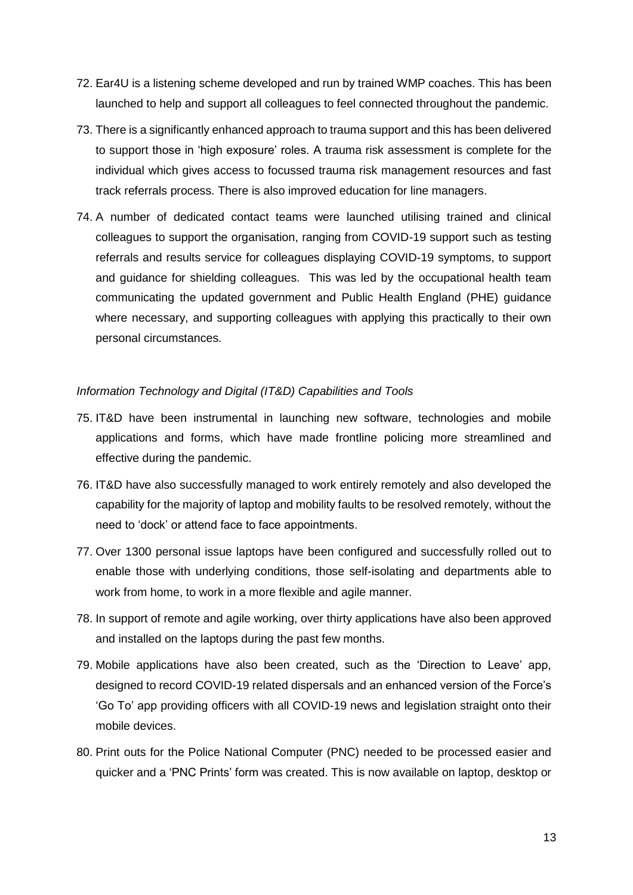- 72. Ear4U is a listening scheme developed and run by trained WMP coaches. This has been launched to help and support all colleagues to feel connected throughout the pandemic.
- 73. There is a significantly enhanced approach to trauma support and this has been delivered to support those in 'high exposure' roles. A trauma risk assessment is complete for the individual which gives access to focussed trauma risk management resources and fast track referrals process. There is also improved education for line managers.
- 74. A number of dedicated contact teams were launched utilising trained and clinical colleagues to support the organisation, ranging from COVID-19 support such as testing referrals and results service for colleagues displaying COVID-19 symptoms, to support and guidance for shielding colleagues. This was led by the occupational health team communicating the updated government and Public Health England (PHE) guidance where necessary, and supporting colleagues with applying this practically to their own personal circumstances.

#### *Information Technology and Digital (IT&D) Capabilities and Tools*

- 75. IT&D have been instrumental in launching new software, technologies and mobile applications and forms, which have made frontline policing more streamlined and effective during the pandemic.
- 76. IT&D have also successfully managed to work entirely remotely and also developed the capability for the majority of laptop and mobility faults to be resolved remotely, without the need to 'dock' or attend face to face appointments.
- 77. Over 1300 personal issue laptops have been configured and successfully rolled out to enable those with underlying conditions, those self-isolating and departments able to work from home, to work in a more flexible and agile manner.
- 78. In support of remote and agile working, over thirty applications have also been approved and installed on the laptops during the past few months.
- 79. Mobile applications have also been created, such as the 'Direction to Leave' app, designed to record COVID-19 related dispersals and an enhanced version of the Force's 'Go To' app providing officers with all COVID-19 news and legislation straight onto their mobile devices.
- 80. Print outs for the Police National Computer (PNC) needed to be processed easier and quicker and a 'PNC Prints' form was created. This is now available on laptop, desktop or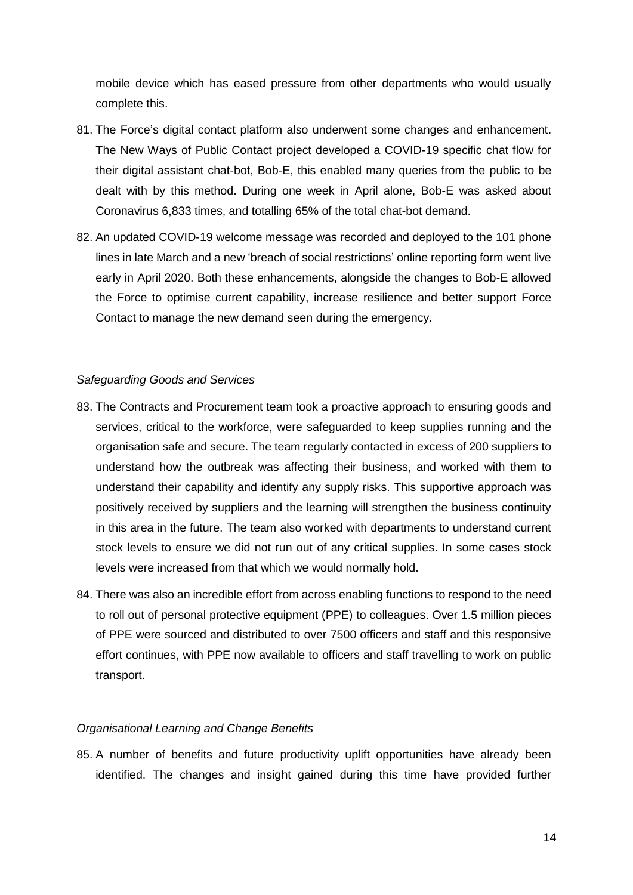mobile device which has eased pressure from other departments who would usually complete this.

- 81. The Force's digital contact platform also underwent some changes and enhancement. The New Ways of Public Contact project developed a COVID-19 specific chat flow for their digital assistant chat-bot, Bob-E, this enabled many queries from the public to be dealt with by this method. During one week in April alone, Bob-E was asked about Coronavirus 6,833 times, and totalling 65% of the total chat-bot demand.
- 82. An updated COVID-19 welcome message was recorded and deployed to the 101 phone lines in late March and a new 'breach of social restrictions' online reporting form went live early in April 2020. Both these enhancements, alongside the changes to Bob-E allowed the Force to optimise current capability, increase resilience and better support Force Contact to manage the new demand seen during the emergency.

#### *Safeguarding Goods and Services*

- 83. The Contracts and Procurement team took a proactive approach to ensuring goods and services, critical to the workforce, were safeguarded to keep supplies running and the organisation safe and secure. The team regularly contacted in excess of 200 suppliers to understand how the outbreak was affecting their business, and worked with them to understand their capability and identify any supply risks. This supportive approach was positively received by suppliers and the learning will strengthen the business continuity in this area in the future. The team also worked with departments to understand current stock levels to ensure we did not run out of any critical supplies. In some cases stock levels were increased from that which we would normally hold.
- 84. There was also an incredible effort from across enabling functions to respond to the need to roll out of personal protective equipment (PPE) to colleagues. Over 1.5 million pieces of PPE were sourced and distributed to over 7500 officers and staff and this responsive effort continues, with PPE now available to officers and staff travelling to work on public transport.

#### *Organisational Learning and Change Benefits*

85. A number of benefits and future productivity uplift opportunities have already been identified. The changes and insight gained during this time have provided further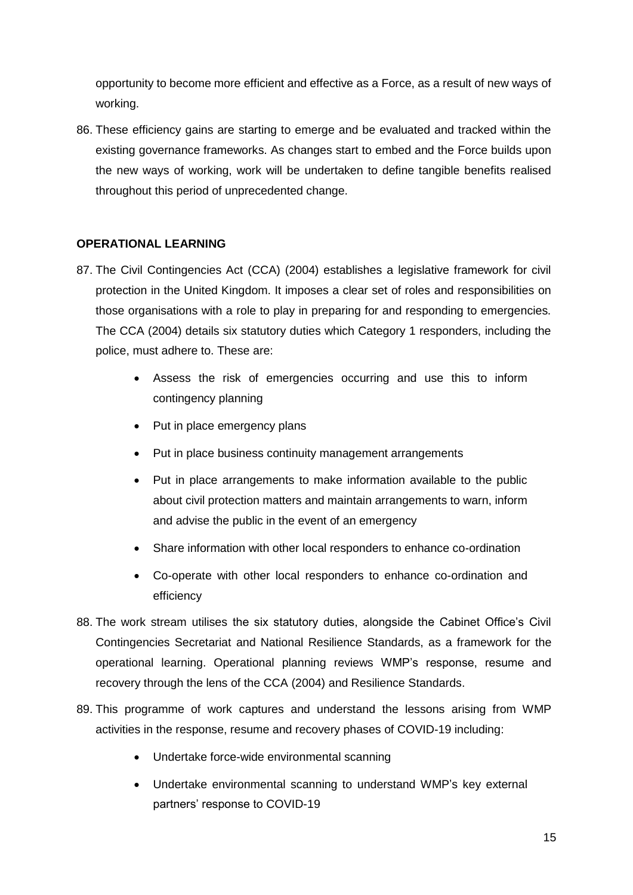opportunity to become more efficient and effective as a Force, as a result of new ways of working.

86. These efficiency gains are starting to emerge and be evaluated and tracked within the existing governance frameworks. As changes start to embed and the Force builds upon the new ways of working, work will be undertaken to define tangible benefits realised throughout this period of unprecedented change.

# **OPERATIONAL LEARNING**

- 87. The Civil Contingencies Act (CCA) (2004) establishes a legislative framework for civil protection in the United Kingdom. It imposes a clear set of roles and responsibilities on those organisations with a role to play in preparing for and responding to emergencies. The CCA (2004) details six statutory duties which Category 1 responders, including the police, must adhere to. These are:
	- Assess the risk of emergencies occurring and use this to inform contingency planning
	- Put in place emergency plans
	- Put in place business continuity management arrangements
	- Put in place arrangements to make information available to the public about civil protection matters and maintain arrangements to warn, inform and advise the public in the event of an emergency
	- Share information with other local responders to enhance co-ordination
	- Co-operate with other local responders to enhance co-ordination and efficiency
- 88. The work stream utilises the six statutory duties, alongside the Cabinet Office's Civil Contingencies Secretariat and National Resilience Standards, as a framework for the operational learning. Operational planning reviews WMP's response, resume and recovery through the lens of the CCA (2004) and Resilience Standards.
- 89. This programme of work captures and understand the lessons arising from WMP activities in the response, resume and recovery phases of COVID-19 including:
	- Undertake force-wide environmental scanning
	- Undertake environmental scanning to understand WMP's key external partners' response to COVID-19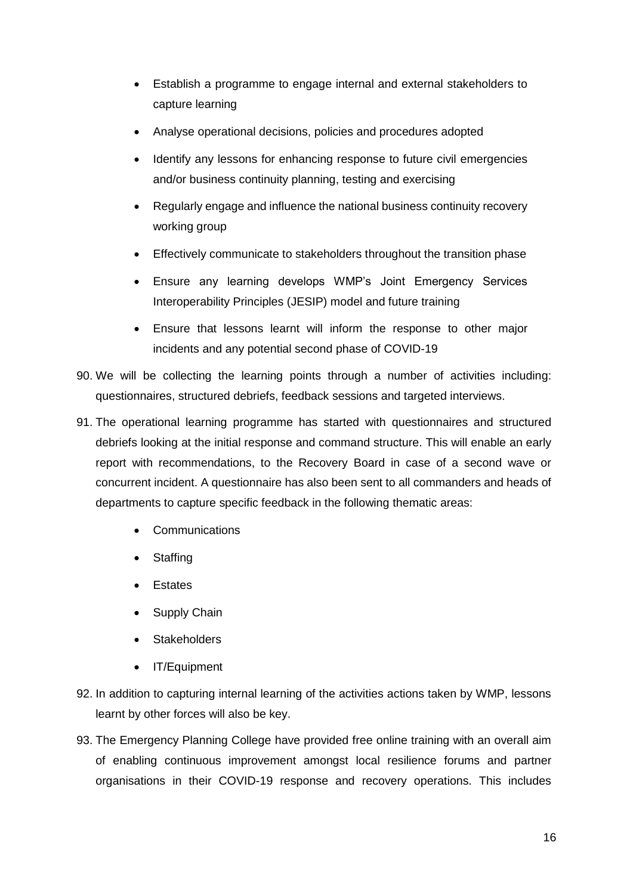- Establish a programme to engage internal and external stakeholders to capture learning
- Analyse operational decisions, policies and procedures adopted
- Identify any lessons for enhancing response to future civil emergencies and/or business continuity planning, testing and exercising
- Regularly engage and influence the national business continuity recovery working group
- Effectively communicate to stakeholders throughout the transition phase
- Ensure any learning develops WMP's Joint Emergency Services Interoperability Principles (JESIP) model and future training
- Ensure that lessons learnt will inform the response to other major incidents and any potential second phase of COVID-19
- 90. We will be collecting the learning points through a number of activities including: questionnaires, structured debriefs, feedback sessions and targeted interviews.
- 91. The operational learning programme has started with questionnaires and structured debriefs looking at the initial response and command structure. This will enable an early report with recommendations, to the Recovery Board in case of a second wave or concurrent incident. A questionnaire has also been sent to all commanders and heads of departments to capture specific feedback in the following thematic areas:
	- Communications
	- **Staffing**
	- Estates
	- Supply Chain
	- **Stakeholders**
	- IT/Equipment
- 92. In addition to capturing internal learning of the activities actions taken by WMP, lessons learnt by other forces will also be key.
- 93. The Emergency Planning College have provided free online training with an overall aim of enabling continuous improvement amongst local resilience forums and partner organisations in their COVID-19 response and recovery operations. This includes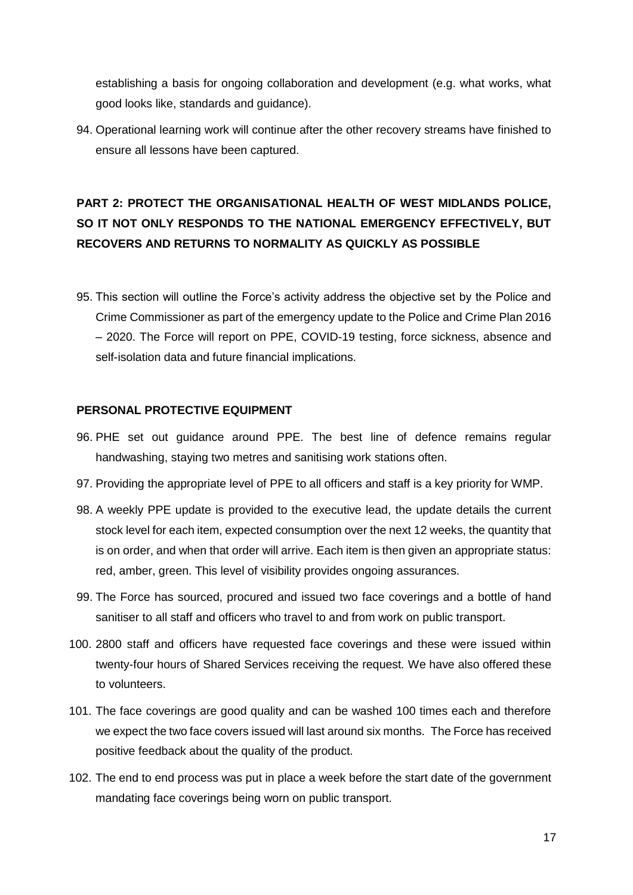establishing a basis for ongoing collaboration and development (e.g. what works, what good looks like, standards and guidance).

94. Operational learning work will continue after the other recovery streams have finished to ensure all lessons have been captured.

# **PART 2: PROTECT THE ORGANISATIONAL HEALTH OF WEST MIDLANDS POLICE, SO IT NOT ONLY RESPONDS TO THE NATIONAL EMERGENCY EFFECTIVELY, BUT RECOVERS AND RETURNS TO NORMALITY AS QUICKLY AS POSSIBLE**

95. This section will outline the Force's activity address the objective set by the Police and Crime Commissioner as part of the emergency update to the Police and Crime Plan 2016 – 2020. The Force will report on PPE, COVID-19 testing, force sickness, absence and self-isolation data and future financial implications.

#### **PERSONAL PROTECTIVE EQUIPMENT**

- 96. PHE set out guidance around PPE. The best line of defence remains regular handwashing, staying two metres and sanitising work stations often.
- 97. Providing the appropriate level of PPE to all officers and staff is a key priority for WMP.
- 98. A weekly PPE update is provided to the executive lead, the update details the current stock level for each item, expected consumption over the next 12 weeks, the quantity that is on order, and when that order will arrive. Each item is then given an appropriate status: red, amber, green. This level of visibility provides ongoing assurances.
- 99. The Force has sourced, procured and issued two face coverings and a bottle of hand sanitiser to all staff and officers who travel to and from work on public transport.
- 100. 2800 staff and officers have requested face coverings and these were issued within twenty-four hours of Shared Services receiving the request*.* We have also offered these to volunteers.
- 101. The face coverings are good quality and can be washed 100 times each and therefore we expect the two face covers issued will last around six months. The Force has received positive feedback about the quality of the product.
- 102. The end to end process was put in place a week before the start date of the government mandating face coverings being worn on public transport.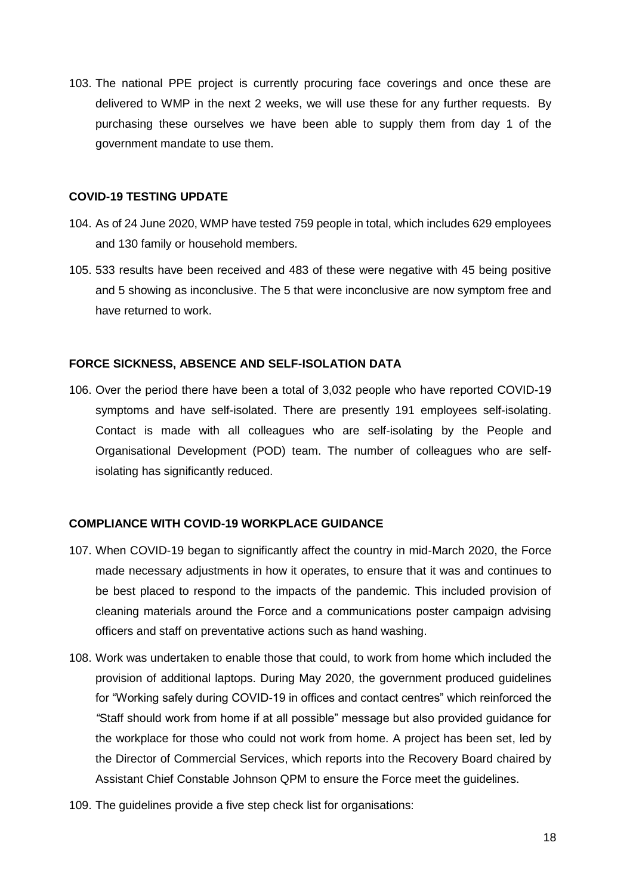103. The national PPE project is currently procuring face coverings and once these are delivered to WMP in the next 2 weeks, we will use these for any further requests. By purchasing these ourselves we have been able to supply them from day 1 of the government mandate to use them.

#### **COVID-19 TESTING UPDATE**

- 104. As of 24 June 2020, WMP have tested 759 people in total, which includes 629 employees and 130 family or household members.
- 105. 533 results have been received and 483 of these were negative with 45 being positive and 5 showing as inconclusive. The 5 that were inconclusive are now symptom free and have returned to work.

#### **FORCE SICKNESS, ABSENCE AND SELF-ISOLATION DATA**

106. Over the period there have been a total of 3,032 people who have reported COVID-19 symptoms and have self-isolated. There are presently 191 employees self-isolating. Contact is made with all colleagues who are self-isolating by the People and Organisational Development (POD) team. The number of colleagues who are selfisolating has significantly reduced.

## **COMPLIANCE WITH COVID-19 WORKPLACE GUIDANCE**

- 107. When COVID-19 began to significantly affect the country in mid-March 2020, the Force made necessary adjustments in how it operates, to ensure that it was and continues to be best placed to respond to the impacts of the pandemic. This included provision of cleaning materials around the Force and a communications poster campaign advising officers and staff on preventative actions such as hand washing.
- 108. Work was undertaken to enable those that could, to work from home which included the provision of additional laptops. During May 2020, the government produced guidelines for "Working safely during COVID-19 in offices and contact centres" which reinforced the *"*Staff should work from home if at all possible" message but also provided guidance for the workplace for those who could not work from home. A project has been set, led by the Director of Commercial Services, which reports into the Recovery Board chaired by Assistant Chief Constable Johnson QPM to ensure the Force meet the guidelines.
- 109. The guidelines provide a five step check list for organisations: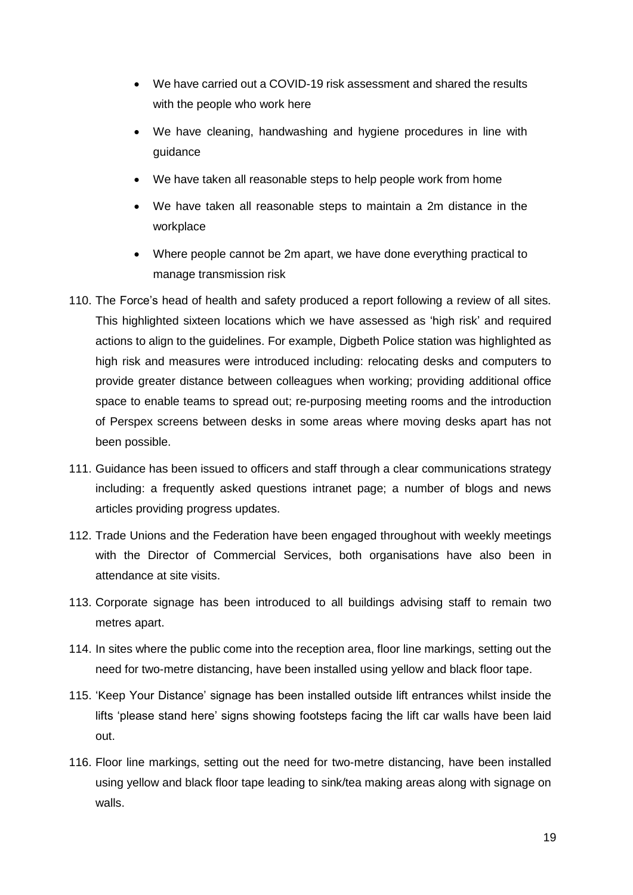- We have carried out a COVID-19 risk assessment and shared the results with the people who work here
- We have cleaning, handwashing and hygiene procedures in line with guidance
- We have taken all reasonable steps to help people work from home
- We have taken all reasonable steps to maintain a 2m distance in the workplace
- Where people cannot be 2m apart, we have done everything practical to manage transmission risk
- 110. The Force's head of health and safety produced a report following a review of all sites. This highlighted sixteen locations which we have assessed as 'high risk' and required actions to align to the guidelines. For example, Digbeth Police station was highlighted as high risk and measures were introduced including: relocating desks and computers to provide greater distance between colleagues when working; providing additional office space to enable teams to spread out; re-purposing meeting rooms and the introduction of Perspex screens between desks in some areas where moving desks apart has not been possible.
- 111. Guidance has been issued to officers and staff through a clear communications strategy including: a frequently asked questions intranet page; a number of blogs and news articles providing progress updates.
- 112. Trade Unions and the Federation have been engaged throughout with weekly meetings with the Director of Commercial Services, both organisations have also been in attendance at site visits.
- 113. Corporate signage has been introduced to all buildings advising staff to remain two metres apart.
- 114. In sites where the public come into the reception area, floor line markings, setting out the need for two-metre distancing, have been installed using yellow and black floor tape.
- 115. 'Keep Your Distance' signage has been installed outside lift entrances whilst inside the lifts 'please stand here' signs showing footsteps facing the lift car walls have been laid out.
- 116. Floor line markings, setting out the need for two-metre distancing, have been installed using yellow and black floor tape leading to sink/tea making areas along with signage on walls.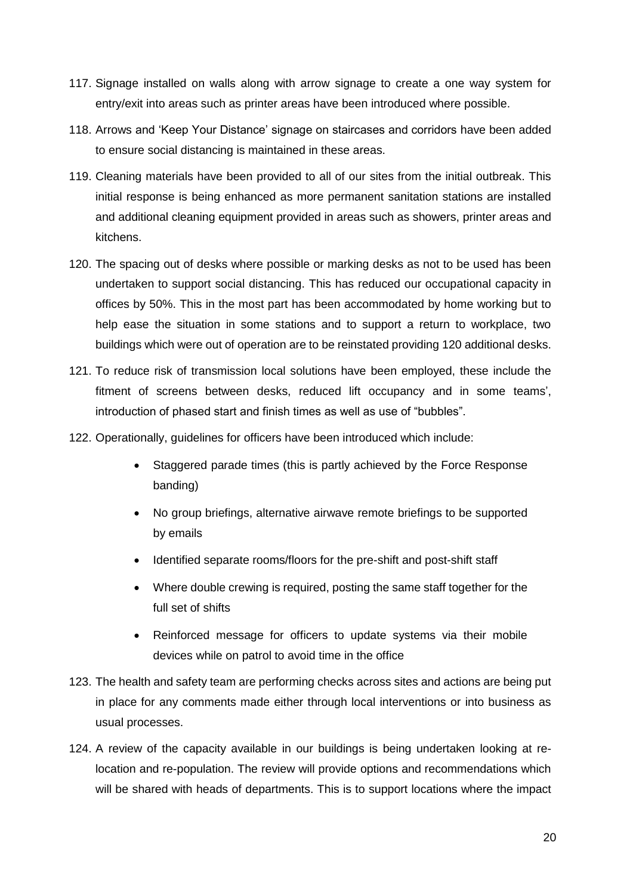- 117. Signage installed on walls along with arrow signage to create a one way system for entry/exit into areas such as printer areas have been introduced where possible.
- 118. Arrows and 'Keep Your Distance' signage on staircases and corridors have been added to ensure social distancing is maintained in these areas.
- 119. Cleaning materials have been provided to all of our sites from the initial outbreak. This initial response is being enhanced as more permanent sanitation stations are installed and additional cleaning equipment provided in areas such as showers, printer areas and kitchens.
- 120. The spacing out of desks where possible or marking desks as not to be used has been undertaken to support social distancing. This has reduced our occupational capacity in offices by 50%. This in the most part has been accommodated by home working but to help ease the situation in some stations and to support a return to workplace, two buildings which were out of operation are to be reinstated providing 120 additional desks.
- 121. To reduce risk of transmission local solutions have been employed, these include the fitment of screens between desks, reduced lift occupancy and in some teams', introduction of phased start and finish times as well as use of "bubbles".
- 122. Operationally, guidelines for officers have been introduced which include:
	- Staggered parade times (this is partly achieved by the Force Response banding)
	- No group briefings, alternative airwave remote briefings to be supported by emails
	- Identified separate rooms/floors for the pre-shift and post-shift staff
	- Where double crewing is required, posting the same staff together for the full set of shifts
	- Reinforced message for officers to update systems via their mobile devices while on patrol to avoid time in the office
- 123. The health and safety team are performing checks across sites and actions are being put in place for any comments made either through local interventions or into business as usual processes.
- 124. A review of the capacity available in our buildings is being undertaken looking at relocation and re-population. The review will provide options and recommendations which will be shared with heads of departments. This is to support locations where the impact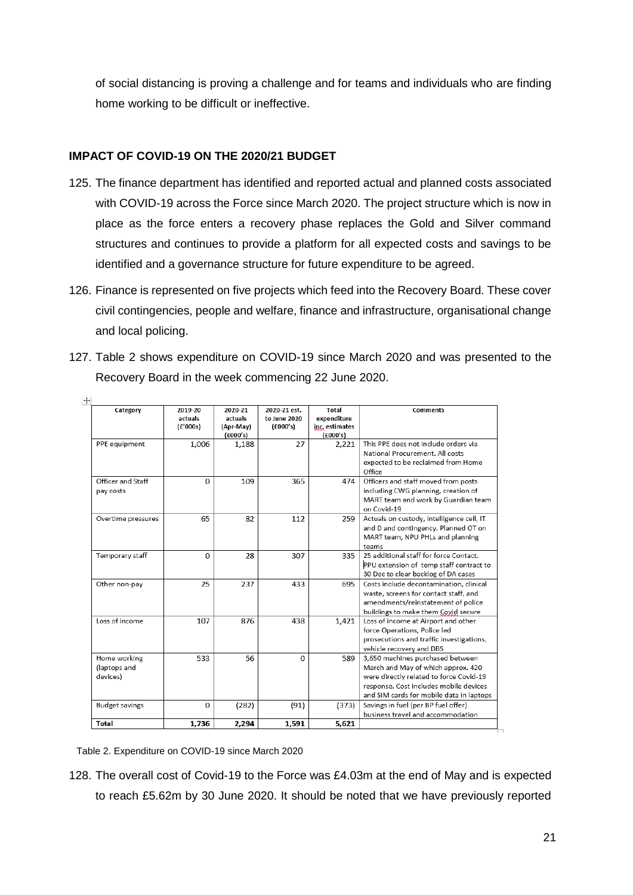of social distancing is proving a challenge and for teams and individuals who are finding home working to be difficult or ineffective.

# **IMPACT OF COVID-19 ON THE 2020/21 BUDGET**

- 125. The finance department has identified and reported actual and planned costs associated with COVID-19 across the Force since March 2020. The project structure which is now in place as the force enters a recovery phase replaces the Gold and Silver command structures and continues to provide a platform for all expected costs and savings to be identified and a governance structure for future expenditure to be agreed.
- 126. Finance is represented on five projects which feed into the Recovery Board. These cover civil contingencies, people and welfare, finance and infrastructure, organisational change and local policing.
- 127. Table 2 shows expenditure on COVID-19 since March 2020 and was presented to the Recovery Board in the week commencing 22 June 2020.

| Category                                 | 2019-20<br>actuals<br>(f'000s) | 2020-21<br>actuals<br>(Apr-May)<br>f(600's) | 2020-21 est.<br>to June 2020<br>(£000's) | Total<br>expenditure<br>inc, estimates<br>(£000's) | <b>Comments</b>                                                                                                                                                                                         |
|------------------------------------------|--------------------------------|---------------------------------------------|------------------------------------------|----------------------------------------------------|---------------------------------------------------------------------------------------------------------------------------------------------------------------------------------------------------------|
| PPE equipment                            | 1,006                          | 1,188                                       | 27                                       | 2,221                                              | This PPE does not include orders via<br>National Procurement. All costs<br>expected to be reclaimed from Home<br>Office                                                                                 |
| Officer and Staff<br>pay costs           | $\Omega$                       | 109                                         | 365                                      | 474                                                | Officers and staff moved from posts<br>including CWG planning, creation of<br>MART team and work by Guardian team<br>on Covid-19                                                                        |
| Overtime pressures                       | 65                             | 82                                          | 112                                      | 259                                                | Actuals on custody, intelligence cell, IT<br>and D and contingency. Planned OT on<br>MART team, NPU PHLs and planning<br>teams                                                                          |
| Temporary staff                          | $\Omega$                       | 28                                          | 307                                      | 335                                                | 25 additional staff for force Contact.<br>PPU extension of temp staff contract to<br>30 Dec to clear backlog of DA cases                                                                                |
| Other non-pay                            | 25                             | 237                                         | 433                                      | 695                                                | Costs include decontamination, clinical<br>waste, screens for contact staff, and<br>amendments/reinstatement of police<br>buildings to make them Covid secure                                           |
| Loss of income                           | 107                            | 876                                         | 438                                      | 1,421                                              | Loss of income at Airport and other<br>force Operations, Police led<br>prosecutions and traffic investigations,<br>vehicle recovery and DBS                                                             |
| Home working<br>(laptops and<br>devices) | 533                            | 56                                          | $\Omega$                                 | 589                                                | 3,650 machines purchased between<br>March and May of which approx. 420<br>were directly related to force Covid-19<br>response. Cost includes mobile devices<br>and SIM cards for mobile data in laptops |
| <b>Budget savings</b>                    | $\Omega$                       | (282)                                       | (91)                                     | (373)                                              | Savings in fuel (per BP fuel offer)<br>business travel and accommodation                                                                                                                                |
| Total                                    | 1,736                          | 2,294                                       | 1,591                                    | 5,621                                              |                                                                                                                                                                                                         |

Table 2. Expenditure on COVID-19 since March 2020

128. The overall cost of Covid-19 to the Force was £4.03m at the end of May and is expected to reach £5.62m by 30 June 2020. It should be noted that we have previously reported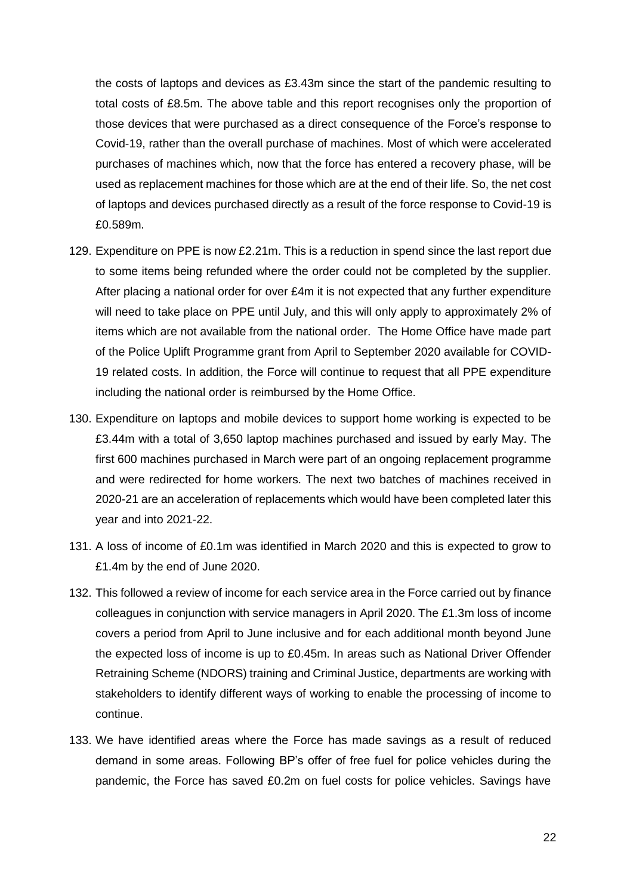the costs of laptops and devices as £3.43m since the start of the pandemic resulting to total costs of £8.5m. The above table and this report recognises only the proportion of those devices that were purchased as a direct consequence of the Force's response to Covid-19, rather than the overall purchase of machines. Most of which were accelerated purchases of machines which, now that the force has entered a recovery phase, will be used as replacement machines for those which are at the end of their life. So, the net cost of laptops and devices purchased directly as a result of the force response to Covid-19 is £0.589m.

- 129. Expenditure on PPE is now £2.21m. This is a reduction in spend since the last report due to some items being refunded where the order could not be completed by the supplier. After placing a national order for over £4m it is not expected that any further expenditure will need to take place on PPE until July, and this will only apply to approximately 2% of items which are not available from the national order. The Home Office have made part of the Police Uplift Programme grant from April to September 2020 available for COVID-19 related costs. In addition, the Force will continue to request that all PPE expenditure including the national order is reimbursed by the Home Office.
- 130. Expenditure on laptops and mobile devices to support home working is expected to be £3.44m with a total of 3,650 laptop machines purchased and issued by early May. The first 600 machines purchased in March were part of an ongoing replacement programme and were redirected for home workers. The next two batches of machines received in 2020-21 are an acceleration of replacements which would have been completed later this year and into 2021-22.
- 131. A loss of income of £0.1m was identified in March 2020 and this is expected to grow to £1.4m by the end of June 2020.
- 132. This followed a review of income for each service area in the Force carried out by finance colleagues in conjunction with service managers in April 2020. The £1.3m loss of income covers a period from April to June inclusive and for each additional month beyond June the expected loss of income is up to £0.45m. In areas such as National Driver Offender Retraining Scheme (NDORS) training and Criminal Justice, departments are working with stakeholders to identify different ways of working to enable the processing of income to continue.
- 133. We have identified areas where the Force has made savings as a result of reduced demand in some areas. Following BP's offer of free fuel for police vehicles during the pandemic, the Force has saved £0.2m on fuel costs for police vehicles. Savings have